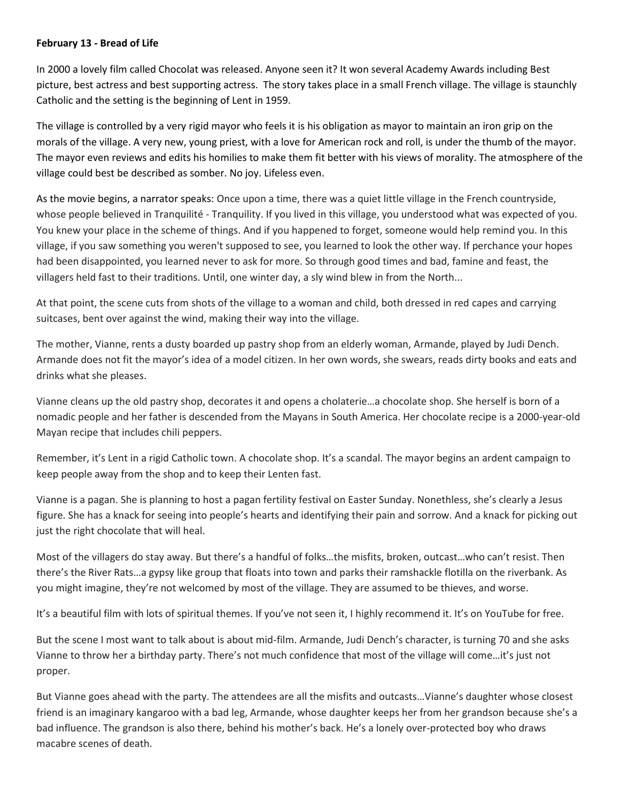## **February 13 - Bread of Life**

In 2000 a lovely film called Chocolat was released. Anyone seen it? It won several Academy Awards including Best picture, best actress and best supporting actress. The story takes place in a small French village. The village is staunchly Catholic and the setting is the beginning of Lent in 1959.

The village is controlled by a very rigid mayor who feels it is his obligation as mayor to maintain an iron grip on the morals of the village. A very new, young priest, with a love for American rock and roll, is under the thumb of the mayor. The mayor even reviews and edits his homilies to make them fit better with his views of morality. The atmosphere of the village could best be described as somber. No joy. Lifeless even.

As the movie begins, a narrator speaks: Once upon a time, there was a quiet little village in the French countryside, whose people believed in Tranquilité - Tranquility. If you lived in this village, you understood what was expected of you. You knew your place in the scheme of things. And if you happened to forget, someone would help remind you. In this village, if you saw something you weren't supposed to see, you learned to look the other way. If perchance your hopes had been disappointed, you learned never to ask for more. So through good times and bad, famine and feast, the villagers held fast to their traditions. Until, one winter day, a sly wind blew in from the North...

At that point, the scene cuts from shots of the village to a woman and child, both dressed in red capes and carrying suitcases, bent over against the wind, making their way into the village.

The mother, Vianne, rents a dusty boarded up pastry shop from an elderly woman, Armande, played by Judi Dench. Armande does not fit the mayor's idea of a model citizen. In her own words, she swears, reads dirty books and eats and drinks what she pleases.

Vianne cleans up the old pastry shop, decorates it and opens a cholaterie…a chocolate shop. She herself is born of a nomadic people and her father is descended from the Mayans in South America. Her chocolate recipe is a 2000-year-old Mayan recipe that includes chili peppers.

Remember, it's Lent in a rigid Catholic town. A chocolate shop. It's a scandal. The mayor begins an ardent campaign to keep people away from the shop and to keep their Lenten fast.

Vianne is a pagan. She is planning to host a pagan fertility festival on Easter Sunday. Nonethless, she's clearly a Jesus figure. She has a knack for seeing into people's hearts and identifying their pain and sorrow. And a knack for picking out just the right chocolate that will heal.

Most of the villagers do stay away. But there's a handful of folks…the misfits, broken, outcast…who can't resist. Then there's the River Rats…a gypsy like group that floats into town and parks their ramshackle flotilla on the riverbank. As you might imagine, they're not welcomed by most of the village. They are assumed to be thieves, and worse.

It's a beautiful film with lots of spiritual themes. If you've not seen it, I highly recommend it. It's on YouTube for free.

But the scene I most want to talk about is about mid-film. Armande, Judi Dench's character, is turning 70 and she asks Vianne to throw her a birthday party. There's not much confidence that most of the village will come…it's just not proper.

But Vianne goes ahead with the party. The attendees are all the misfits and outcasts…Vianne's daughter whose closest friend is an imaginary kangaroo with a bad leg, Armande, whose daughter keeps her from her grandson because she's a bad influence. The grandson is also there, behind his mother's back. He's a lonely over-protected boy who draws macabre scenes of death.